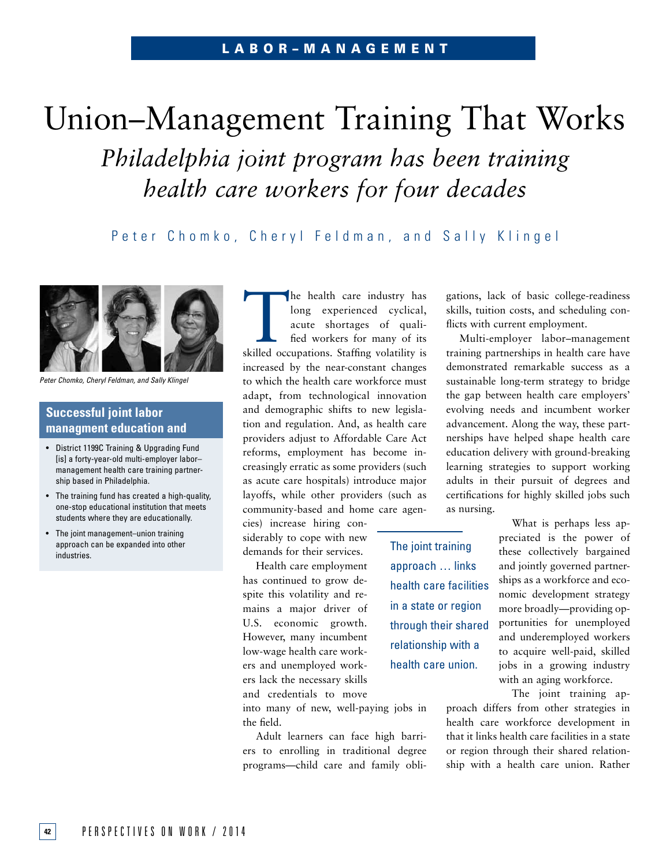# Union–Management Training That Works *Philadelphia joint program has been training health care workers for four decades*

Peter Chomko, Cheryl Feldman, and Sally Klingel



*Peter Chomko, Cheryl Feldman, and Sally Klingel*

# **Successful joint labor managment education and**

- District 1199C Training & Upgrading Fund [is] a forty-year-old multi-employer labormanagement health care training partnership based in Philadelphia.
- The training fund has created a high-quality, one-stop educational institution that meets students where they are educationally.
- The joint management-union training approach can be expanded into other industries.

The health care industry has<br>long experienced cyclical,<br>acute shortages of quali-<br>fied workers for many of its<br>skilled occupations. Staffing volatility is long experienced cyclical, acute shortages of qualified workers for many of its skilled occupations. Staffing volatility is increased by the near-constant changes to which the health care workforce must adapt, from technological innovation and demographic shifts to new legislation and regulation. And, as health care providers adjust to Affordable Care Act reforms, employment has become increasingly erratic as some providers (such as acute care hospitals) introduce major layoffs, while other providers (such as community-based and home care agen-

cies) increase hiring considerably to cope with new demands for their services.

Health care employment has continued to grow despite this volatility and remains a major driver of U.S. economic growth. However, many incumbent low-wage health care workers and unemployed workers lack the necessary skills and credentials to move

The joint training approach … links health care facilities in a state or region through their shared relationship with a health care union.

gations, lack of basic college-readiness skills, tuition costs, and scheduling conflicts with current employment.

Multi-employer labor–management training partnerships in health care have demonstrated remarkable success as a sustainable long-term strategy to bridge the gap between health care employers' evolving needs and incumbent worker advancement. Along the way, these partnerships have helped shape health care education delivery with ground-breaking learning strategies to support working adults in their pursuit of degrees and certifications for highly skilled jobs such as nursing.

> What is perhaps less appreciated is the power of these collectively bargained and jointly governed partnerships as a workforce and economic development strategy more broadly—providing opportunities for unemployed and underemployed workers to acquire well-paid, skilled jobs in a growing industry with an aging workforce.

The joint training approach differs from other strategies in health care workforce development in that it links health care facilities in a state or region through their shared relationship with a health care union. Rather

into many of new, well-paying jobs in the field.

Adult learners can face high barriers to enrolling in traditional degree programs—child care and family obli-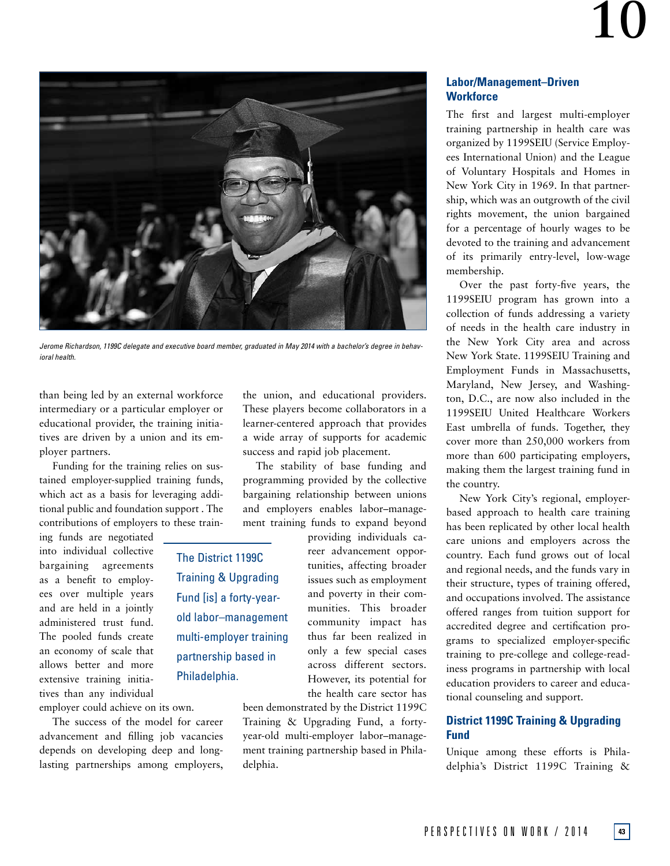

*Jerome Richardson, 1199C delegate and executive board member, graduated in May 2014 with a bachelor's degree in behavioral health.*

The District 1199C Training & Upgrading Fund [is] a forty-yearold labor–management multi-employer training partnership based in

Philadelphia.

than being led by an external workforce intermediary or a particular employer or educational provider, the training initiatives are driven by a union and its employer partners.

Funding for the training relies on sustained employer-supplied training funds, which act as a basis for leveraging additional public and foundation support . The contributions of employers to these train-

ing funds are negotiated into individual collective bargaining agreements as a benefit to employees over multiple years and are held in a jointly administered trust fund. The pooled funds create an economy of scale that allows better and more extensive training initiatives than any individual

employer could achieve on its own.

The success of the model for career advancement and filling job vacancies depends on developing deep and longlasting partnerships among employers, the union, and educational providers. These players become collaborators in a learner-centered approach that provides a wide array of supports for academic success and rapid job placement.

The stability of base funding and programming provided by the collective bargaining relationship between unions and employers enables labor–management training funds to expand beyond

> providing individuals career advancement opportunities, affecting broader issues such as employment and poverty in their communities. This broader community impact has thus far been realized in only a few special cases across different sectors. However, its potential for the health care sector has

been demonstrated by the District 1199C Training & Upgrading Fund, a fortyyear-old multi-employer labor–management training partnership based in Philadelphia.

### **Labor/Management–Driven Workforce**

The first and largest multi-employer training partnership in health care was organized by 1199SEIU (Service Employees International Union) and the League of Voluntary Hospitals and Homes in New York City in 1969. In that partnership, which was an outgrowth of the civil rights movement, the union bargained for a percentage of hourly wages to be devoted to the training and advancement of its primarily entry-level, low-wage membership.

Over the past forty-five years, the 1199SEIU program has grown into a collection of funds addressing a variety of needs in the health care industry in the New York City area and across New York State. 1199SEIU Training and Employment Funds in Massachusetts, Maryland, New Jersey, and Washington, D.C., are now also included in the 1199SEIU United Healthcare Workers East umbrella of funds. Together, they cover more than 250,000 workers from more than 600 participating employers, making them the largest training fund in the country.

New York City's regional, employerbased approach to health care training has been replicated by other local health care unions and employers across the country. Each fund grows out of local and regional needs, and the funds vary in their structure, types of training offered, and occupations involved. The assistance offered ranges from tuition support for accredited degree and certification programs to specialized employer-specific training to pre-college and college-readiness programs in partnership with local education providers to career and educational counseling and support.

### **District 1199C Training & Upgrading Fund**

Unique among these efforts is Philadelphia's District 1199C Training &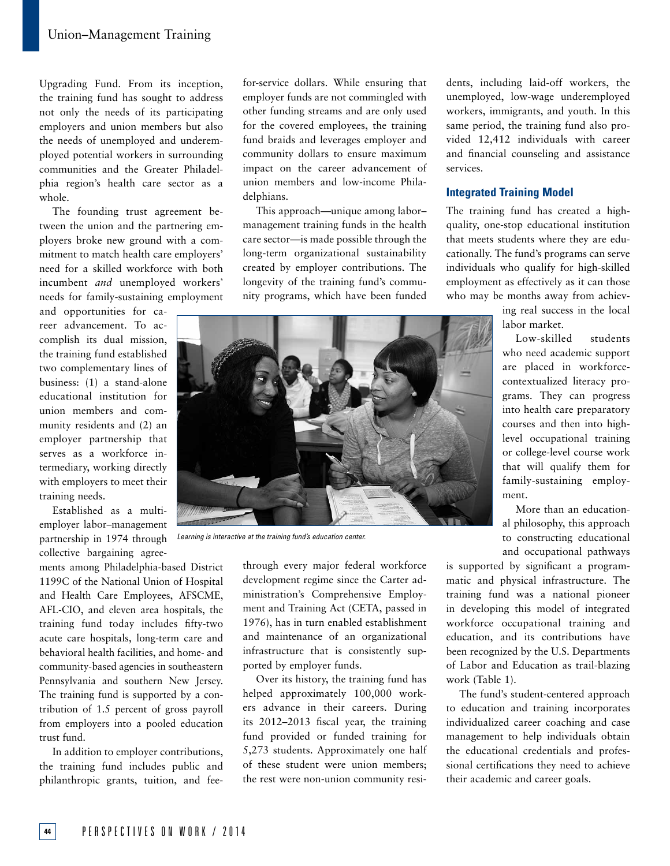Upgrading Fund. From its inception, the training fund has sought to address not only the needs of its participating employers and union members but also the needs of unemployed and underemployed potential workers in surrounding communities and the Greater Philadelphia region's health care sector as a whole.

The founding trust agreement between the union and the partnering employers broke new ground with a commitment to match health care employers' need for a skilled workforce with both incumbent *and* unemployed workers' needs for family-sustaining employment

and opportunities for career advancement. To accomplish its dual mission, the training fund established two complementary lines of business: (1) a stand-alone educational institution for union members and community residents and (2) an employer partnership that serves as a workforce intermediary, working directly with employers to meet their training needs.

Established as a multiemployer labor–management partnership in 1974 through collective bargaining agree-

ments among Philadelphia-based District 1199C of the National Union of Hospital and Health Care Employees, AFSCME, AFL-CIO, and eleven area hospitals, the training fund today includes fifty-two acute care hospitals, long-term care and behavioral health facilities, and home- and community-based agencies in southeastern Pennsylvania and southern New Jersey. The training fund is supported by a contribution of 1.5 percent of gross payroll from employers into a pooled education trust fund.

In addition to employer contributions, the training fund includes public and philanthropic grants, tuition, and feefor-service dollars. While ensuring that employer funds are not commingled with other funding streams and are only used for the covered employees, the training fund braids and leverages employer and community dollars to ensure maximum impact on the career advancement of union members and low-income Philadelphians.

This approach—unique among labor– management training funds in the health care sector—is made possible through the long-term organizational sustainability created by employer contributions. The longevity of the training fund's community programs, which have been funded dents, including laid-off workers, the unemployed, low-wage underemployed workers, immigrants, and youth. In this same period, the training fund also provided 12,412 individuals with career and financial counseling and assistance services.

#### **Integrated Training Model**

The training fund has created a highquality, one-stop educational institution that meets students where they are educationally. The fund's programs can serve individuals who qualify for high-skilled employment as effectively as it can those who may be months away from achiev-

> ing real success in the local labor market.

> Low-skilled students who need academic support are placed in workforcecontextualized literacy programs. They can progress into health care preparatory courses and then into highlevel occupational training or college-level course work that will qualify them for family-sustaining employment.

> More than an educational philosophy, this approach to constructing educational and occupational pathways

is supported by significant a programmatic and physical infrastructure. The training fund was a national pioneer in developing this model of integrated workforce occupational training and education, and its contributions have been recognized by the U.S. Departments of Labor and Education as trail-blazing work (Table 1).

The fund's student-centered approach to education and training incorporates individualized career coaching and case management to help individuals obtain the educational credentials and professional certifications they need to achieve their academic and career goals.



*Learning is interactive at the training fund's education center.*

through every major federal workforce development regime since the Carter administration's Comprehensive Employment and Training Act (CETA, passed in 1976), has in turn enabled establishment and maintenance of an organizational infrastructure that is consistently supported by employer funds.

Over its history, the training fund has helped approximately 100,000 workers advance in their careers. During its 2012–2013 fiscal year, the training fund provided or funded training for 5,273 students. Approximately one half of these student were union members; the rest were non-union community resi-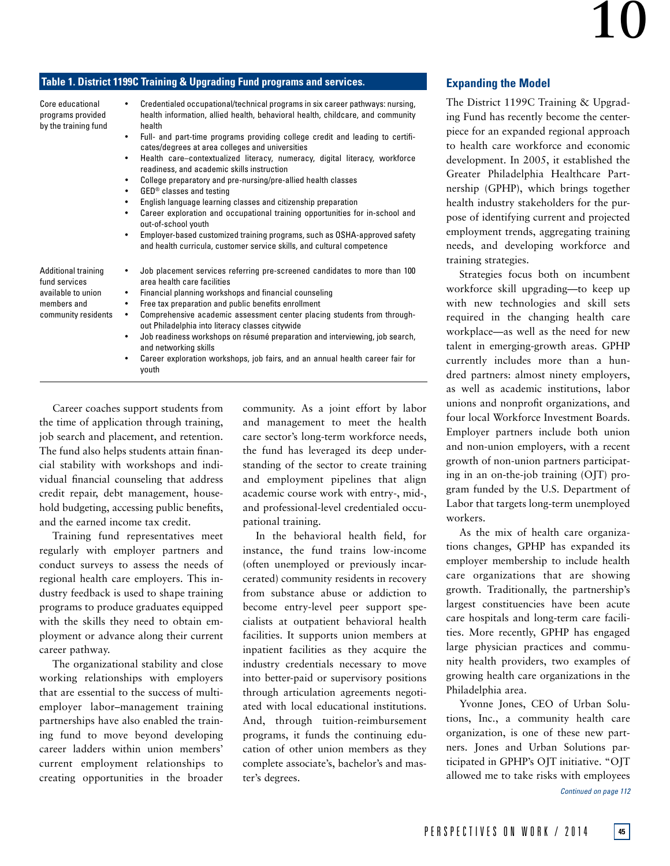# **Table 1. District 1199C Training & Upgrading Fund programs and services.**

| Core educational<br>programs provided<br>by the training fund                                           | Credentialed occupational/technical programs in six career pathways: nursing,<br>٠<br>health information, allied health, behavioral health, childcare, and community<br>health<br>Full- and part-time programs providing college credit and leading to certifi-<br>$\bullet$<br>cates/degrees at area colleges and universities<br>Health care-contextualized literacy, numeracy, digital literacy, workforce<br>$\bullet$<br>readiness, and academic skills instruction<br>College preparatory and pre-nursing/pre-allied health classes<br>$\bullet$<br>GED <sup>®</sup> classes and testing<br>$\bullet$<br>English language learning classes and citizenship preparation<br>$\bullet$<br>Career exploration and occupational training opportunities for in-school and<br>$\bullet$<br>out-of-school youth<br>Employer-based customized training programs, such as OSHA-approved safety<br>٠<br>and health curricula, customer service skills, and cultural competence | The District<br>ing Fund ha<br>piece for an<br>to health ca<br>development<br>Greater Phi<br>nership (GP<br>health indus<br>pose of iden<br>employment<br>needs, and |
|---------------------------------------------------------------------------------------------------------|---------------------------------------------------------------------------------------------------------------------------------------------------------------------------------------------------------------------------------------------------------------------------------------------------------------------------------------------------------------------------------------------------------------------------------------------------------------------------------------------------------------------------------------------------------------------------------------------------------------------------------------------------------------------------------------------------------------------------------------------------------------------------------------------------------------------------------------------------------------------------------------------------------------------------------------------------------------------------|----------------------------------------------------------------------------------------------------------------------------------------------------------------------|
| <b>Additional training</b><br>fund services<br>available to union<br>members and<br>community residents | Job placement services referring pre-screened candidates to more than 100<br>٠<br>area health care facilities<br>Financial planning workshops and financial counseling<br>$\bullet$<br>Free tax preparation and public benefits enrollment<br>٠<br>Comprehensive academic assessment center placing students from through-<br>٠<br>out Philadelphia into literacy classes citywide<br>Job readiness workshops on résumé preparation and interviewing, job search,<br>٠<br>and networking skills<br>Career exploration workshops, job fairs, and an annual health career fair for<br>٠<br>youth                                                                                                                                                                                                                                                                                                                                                                            | training stra<br>Strategies<br>workforce s<br>with new<br>required in<br>workplace-<br>talent in em<br>currently in<br>dred partner<br>11                            |

Career coaches support students from the time of application through training, job search and placement, and retention. The fund also helps students attain financial stability with workshops and individual financial counseling that address credit repair, debt management, household budgeting, accessing public benefits, and the earned income tax credit.

Training fund representatives meet regularly with employer partners and conduct surveys to assess the needs of regional health care employers. This industry feedback is used to shape training programs to produce graduates equipped with the skills they need to obtain employment or advance along their current career pathway.

The organizational stability and close working relationships with employers that are essential to the success of multiemployer labor–management training partnerships have also enabled the training fund to move beyond developing career ladders within union members' current employment relationships to creating opportunities in the broader

community. As a joint effort by labor and management to meet the health care sector's long-term workforce needs, the fund has leveraged its deep understanding of the sector to create training and employment pipelines that align academic course work with entry-, mid-, and professional-level credentialed occupational training.

In the behavioral health field, for instance, the fund trains low-income (often unemployed or previously incarcerated) community residents in recovery from substance abuse or addiction to become entry-level peer support specialists at outpatient behavioral health facilities. It supports union members at inpatient facilities as they acquire the industry credentials necessary to move into better-paid or supervisory positions through articulation agreements negotiated with local educational institutions. And, through tuition-reimbursement programs, it funds the continuing education of other union members as they complete associate's, bachelor's and master's degrees.

# **Expanding the Model**

1199C Training & Upgrads recently become the centerexpanded regional approach re workforce and economic t. In 2005, it established the ladelphia Healthcare Part-PHP), which brings together try stakeholders for the purtifying current and projected trends, aggregating training developing workforce and tegies.

focus both on incumbent kill upgrading—to keep up technologies and skill sets the changing health care -as well as the need for new terging-growth areas. GPHP cludes more than a hunrs: almost ninety employers, as well as academic institutions, labor unions and nonprofit organizations, and four local Workforce Investment Boards. Employer partners include both union and non-union employers, with a recent growth of non-union partners participating in an on-the-job training (OJT) program funded by the U.S. Department of Labor that targets long-term unemployed workers.

As the mix of health care organizations changes, GPHP has expanded its employer membership to include health care organizations that are showing growth. Traditionally, the partnership's largest constituencies have been acute care hospitals and long-term care facilities. More recently, GPHP has engaged large physician practices and community health providers, two examples of growing health care organizations in the Philadelphia area.

Yvonne Jones, CEO of Urban Solutions, Inc., a community health care organization, is one of these new partners. Jones and Urban Solutions participated in GPHP's OJT initiative. "OJT allowed me to take risks with employees

*Continued on page 112*